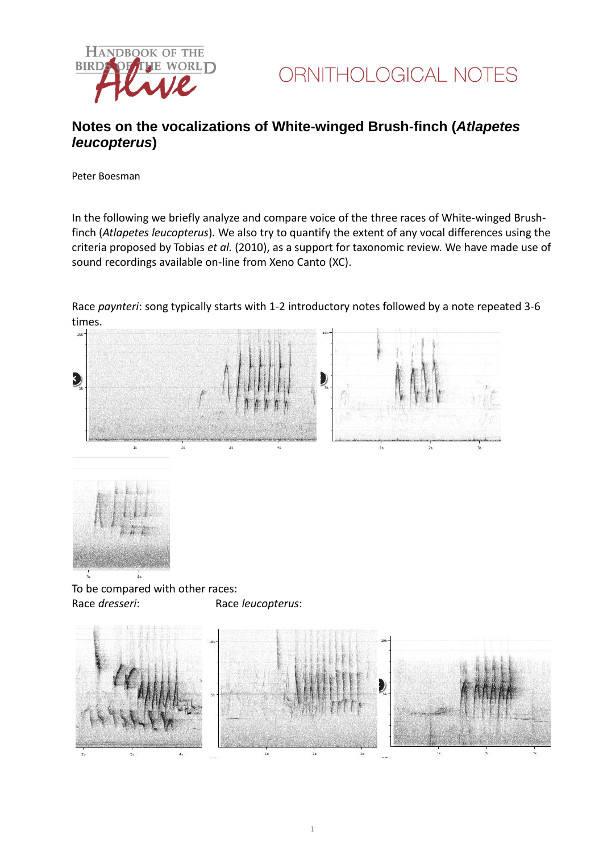



## **Notes on the vocalizations of White-winged Brush-finch (***Atlapetes leucopterus***)**

Peter Boesman

In the following we briefly analyze and compare voice of the three races of White-winged Brushfinch (*Atlapetes leucopterus*)*.* We also try to quantify the extent of any vocal differences using the criteria proposed by Tobias *et al.* (2010), as a support for taxonomic review. We have made use of sound recordings available on-line from Xeno Canto (XC).

Race *paynteri*: song typically starts with 1-2 introductory notes followed by a note repeated 3-6 times.





To be compared with other races: Race *dresseri*: Race *leucopterus*: